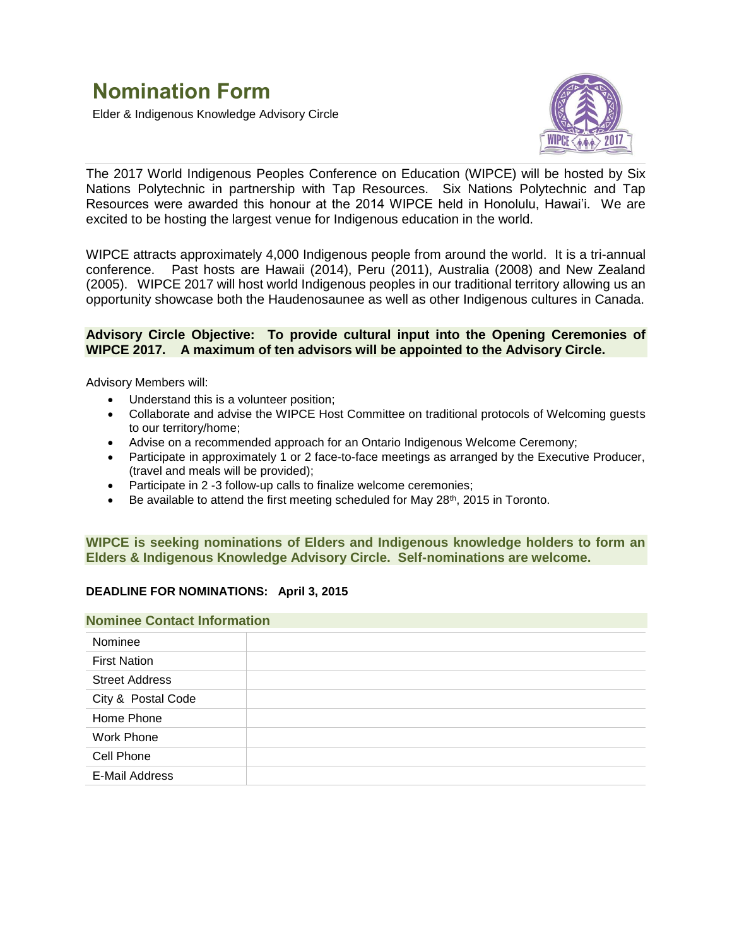Elder & Indigenous Knowledge Advisory Circle



The 2017 World Indigenous Peoples Conference on Education (WIPCE) will be hosted by Six Nations Polytechnic in partnership with Tap Resources. Six Nations Polytechnic and Tap Resources were awarded this honour at the 2014 WIPCE held in Honolulu, Hawai'i. We are excited to be hosting the largest venue for Indigenous education in the world.

WIPCE attracts approximately 4,000 Indigenous people from around the world. It is a tri-annual conference. Past hosts are Hawaii (2014), Peru (2011), Australia (2008) and New Zealand (2005).WIPCE 2017 will host world Indigenous peoples in our traditional territory allowing us an opportunity showcase both the Haudenosaunee as well as other Indigenous cultures in Canada.

## **Advisory Circle Objective: To provide cultural input into the Opening Ceremonies of WIPCE 2017. A maximum of ten advisors will be appointed to the Advisory Circle.**

Advisory Members will:

- Understand this is a volunteer position;
- Collaborate and advise the WIPCE Host Committee on traditional protocols of Welcoming guests to our territory/home;
- Advise on a recommended approach for an Ontario Indigenous Welcome Ceremony;
- Participate in approximately 1 or 2 face-to-face meetings as arranged by the Executive Producer, (travel and meals will be provided);
- Participate in 2 -3 follow-up calls to finalize welcome ceremonies;
- $\bullet$  Be available to attend the first meeting scheduled for May 28<sup>th</sup>, 2015 in Toronto.

# **WIPCE is seeking nominations of Elders and Indigenous knowledge holders to form an Elders & Indigenous Knowledge Advisory Circle. Self-nominations are welcome.**

## **DEADLINE FOR NOMINATIONS: April 3, 2015**

#### **Nominee Contact Information**

| Nominee               |  |
|-----------------------|--|
| <b>First Nation</b>   |  |
| <b>Street Address</b> |  |
| City & Postal Code    |  |
| Home Phone            |  |
| Work Phone            |  |
| Cell Phone            |  |
| E-Mail Address        |  |